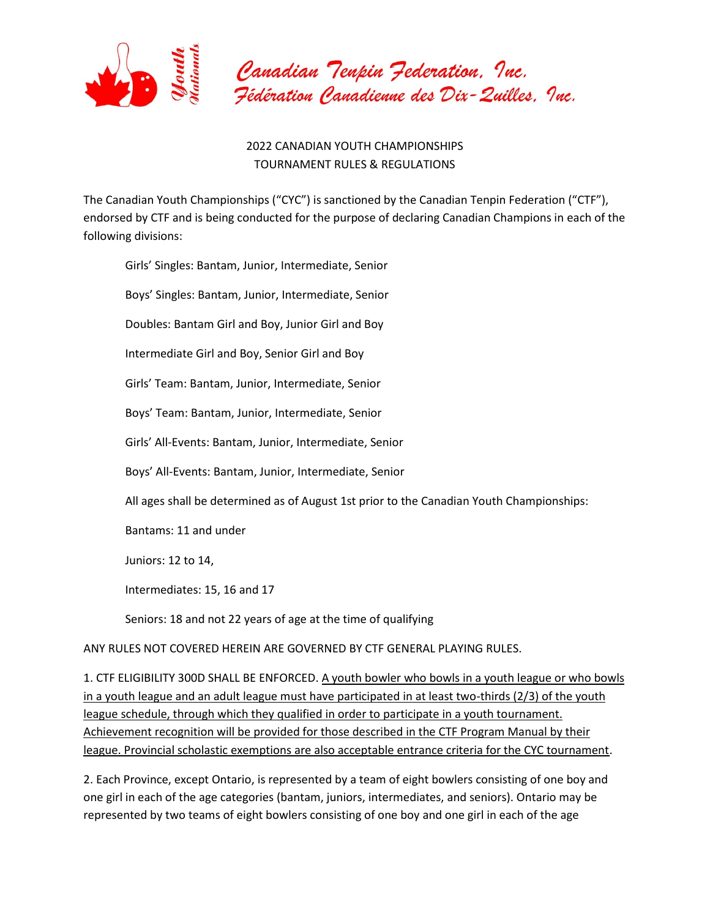

## 2022 CANADIAN YOUTH CHAMPIONSHIPS TOURNAMENT RULES & REGULATIONS

The Canadian Youth Championships ("CYC") is sanctioned by the Canadian Tenpin Federation ("CTF"), endorsed by CTF and is being conducted for the purpose of declaring Canadian Champions in each of the following divisions:

Girls' Singles: Bantam, Junior, Intermediate, Senior Boys' Singles: Bantam, Junior, Intermediate, Senior Doubles: Bantam Girl and Boy, Junior Girl and Boy Intermediate Girl and Boy, Senior Girl and Boy Girls' Team: Bantam, Junior, Intermediate, Senior Boys' Team: Bantam, Junior, Intermediate, Senior Girls' All-Events: Bantam, Junior, Intermediate, Senior Boys' All-Events: Bantam, Junior, Intermediate, Senior All ages shall be determined as of August 1st prior to the Canadian Youth Championships: Bantams: 11 and under Juniors: 12 to 14, Intermediates: 15, 16 and 17 Seniors: 18 and not 22 years of age at the time of qualifying ANY RULES NOT COVERED HEREIN ARE GOVERNED BY CTF GENERAL PLAYING RULES.

1. CTF ELIGIBILITY 300D SHALL BE ENFORCED. A youth bowler who bowls in a youth league or who bowls in a youth league and an adult league must have participated in at least two-thirds (2/3) of the youth league schedule, through which they qualified in order to participate in a youth tournament. Achievement recognition will be provided for those described in the CTF Program Manual by their league. Provincial scholastic exemptions are also acceptable entrance criteria for the CYC tournament.

2. Each Province, except Ontario, is represented by a team of eight bowlers consisting of one boy and one girl in each of the age categories (bantam, juniors, intermediates, and seniors). Ontario may be represented by two teams of eight bowlers consisting of one boy and one girl in each of the age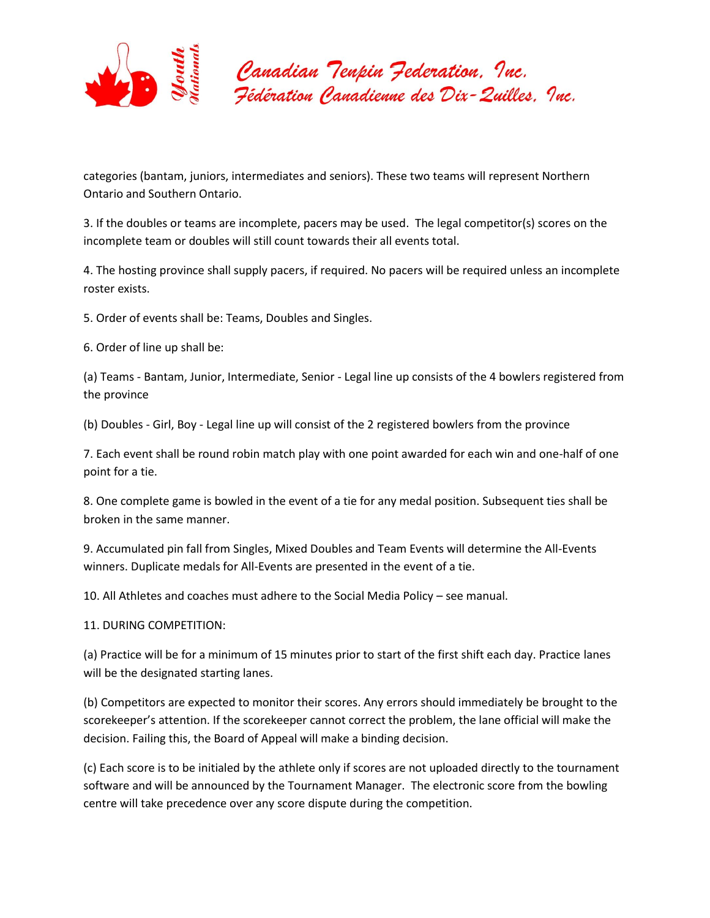

categories (bantam, juniors, intermediates and seniors). These two teams will represent Northern Ontario and Southern Ontario.

3. If the doubles or teams are incomplete, pacers may be used. The legal competitor(s) scores on the incomplete team or doubles will still count towards their all events total.

4. The hosting province shall supply pacers, if required. No pacers will be required unless an incomplete roster exists.

5. Order of events shall be: Teams, Doubles and Singles.

6. Order of line up shall be:

(a) Teams - Bantam, Junior, Intermediate, Senior - Legal line up consists of the 4 bowlers registered from the province

(b) Doubles - Girl, Boy - Legal line up will consist of the 2 registered bowlers from the province

7. Each event shall be round robin match play with one point awarded for each win and one-half of one point for a tie.

8. One complete game is bowled in the event of a tie for any medal position. Subsequent ties shall be broken in the same manner.

9. Accumulated pin fall from Singles, Mixed Doubles and Team Events will determine the All-Events winners. Duplicate medals for All-Events are presented in the event of a tie.

10. All Athletes and coaches must adhere to the Social Media Policy – see manual.

11. DURING COMPETITION:

(a) Practice will be for a minimum of 15 minutes prior to start of the first shift each day. Practice lanes will be the designated starting lanes.

(b) Competitors are expected to monitor their scores. Any errors should immediately be brought to the scorekeeper's attention. If the scorekeeper cannot correct the problem, the lane official will make the decision. Failing this, the Board of Appeal will make a binding decision.

(c) Each score is to be initialed by the athlete only if scores are not uploaded directly to the tournament software and will be announced by the Tournament Manager. The electronic score from the bowling centre will take precedence over any score dispute during the competition.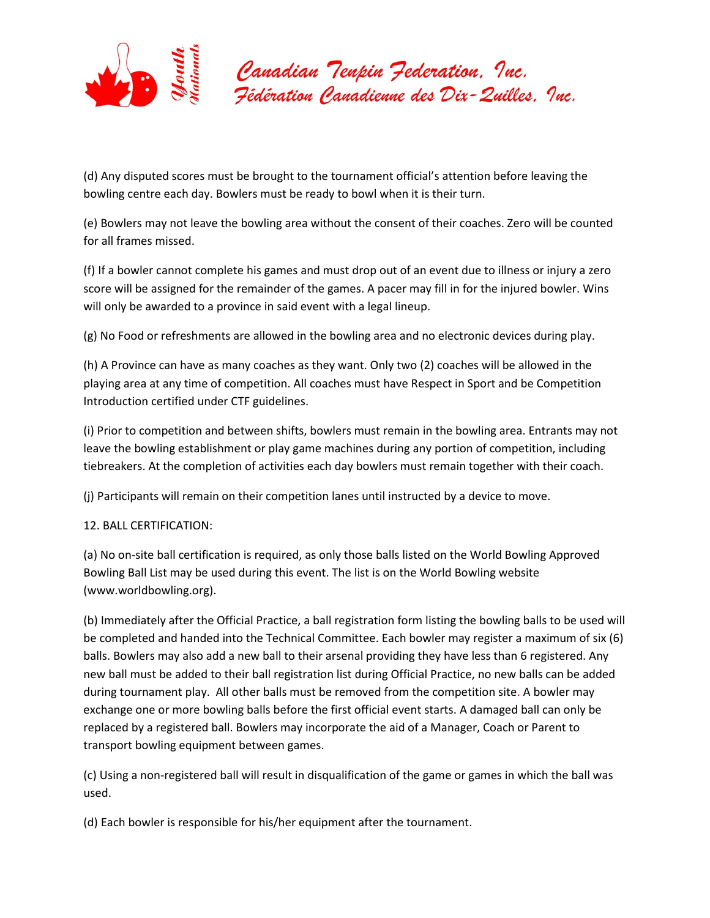

(d) Any disputed scores must be brought to the tournament official's attention before leaving the bowling centre each day. Bowlers must be ready to bowl when it is their turn.

(e) Bowlers may not leave the bowling area without the consent of their coaches. Zero will be counted for all frames missed.

(f) If a bowler cannot complete his games and must drop out of an event due to illness or injury a zero score will be assigned for the remainder of the games. A pacer may fill in for the injured bowler. Wins will only be awarded to a province in said event with a legal lineup.

(g) No Food or refreshments are allowed in the bowling area and no electronic devices during play.

(h) A Province can have as many coaches as they want. Only two (2) coaches will be allowed in the playing area at any time of competition. All coaches must have Respect in Sport and be Competition Introduction certified under CTF guidelines.

(i) Prior to competition and between shifts, bowlers must remain in the bowling area. Entrants may not leave the bowling establishment or play game machines during any portion of competition, including tiebreakers. At the completion of activities each day bowlers must remain together with their coach.

(j) Participants will remain on their competition lanes until instructed by a device to move.

12. BALL CERTIFICATION:

(a) No on-site ball certification is required, as only those balls listed on the World Bowling Approved Bowling Ball List may be used during this event. The list is on the World Bowling website (www.worldbowling.org).

(b) Immediately after the Official Practice, a ball registration form listing the bowling balls to be used will be completed and handed into the Technical Committee. Each bowler may register a maximum of six (6) balls. Bowlers may also add a new ball to their arsenal providing they have less than 6 registered. Any new ball must be added to their ball registration list during Official Practice, no new balls can be added during tournament play. All other balls must be removed from the competition site. A bowler may exchange one or more bowling balls before the first official event starts. A damaged ball can only be replaced by a registered ball. Bowlers may incorporate the aid of a Manager, Coach or Parent to transport bowling equipment between games.

(c) Using a non-registered ball will result in disqualification of the game or games in which the ball was used.

(d) Each bowler is responsible for his/her equipment after the tournament.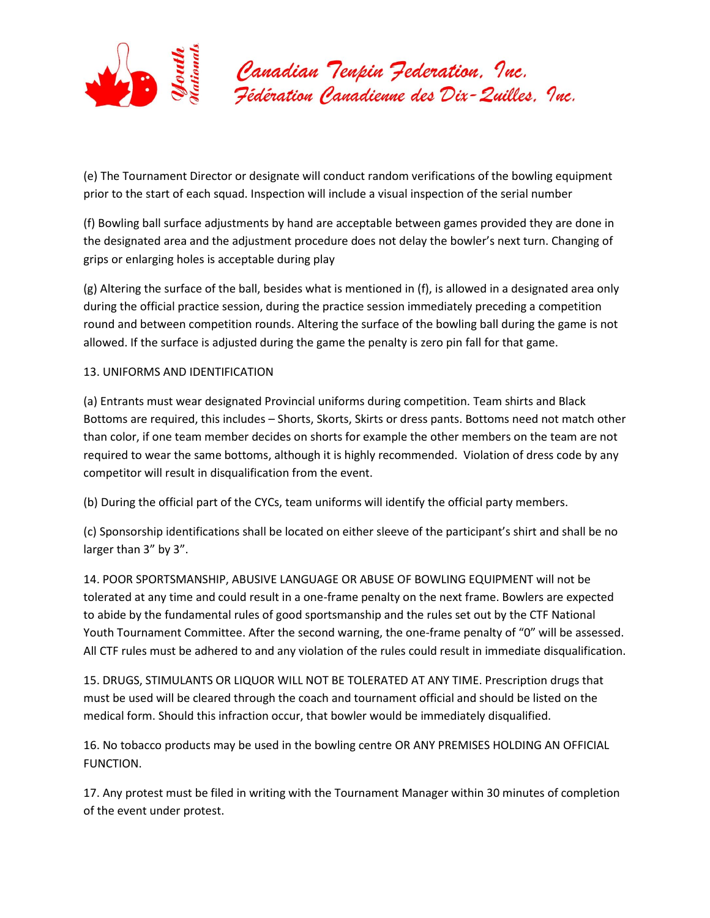

(e) The Tournament Director or designate will conduct random verifications of the bowling equipment prior to the start of each squad. Inspection will include a visual inspection of the serial number

(f) Bowling ball surface adjustments by hand are acceptable between games provided they are done in the designated area and the adjustment procedure does not delay the bowler's next turn. Changing of grips or enlarging holes is acceptable during play

(g) Altering the surface of the ball, besides what is mentioned in (f), is allowed in a designated area only during the official practice session, during the practice session immediately preceding a competition round and between competition rounds. Altering the surface of the bowling ball during the game is not allowed. If the surface is adjusted during the game the penalty is zero pin fall for that game.

## 13. UNIFORMS AND IDENTIFICATION

(a) Entrants must wear designated Provincial uniforms during competition. Team shirts and Black Bottoms are required, this includes – Shorts, Skorts, Skirts or dress pants. Bottoms need not match other than color, if one team member decides on shorts for example the other members on the team are not required to wear the same bottoms, although it is highly recommended. Violation of dress code by any competitor will result in disqualification from the event.

(b) During the official part of the CYCs, team uniforms will identify the official party members.

(c) Sponsorship identifications shall be located on either sleeve of the participant's shirt and shall be no larger than 3" by 3".

14. POOR SPORTSMANSHIP, ABUSIVE LANGUAGE OR ABUSE OF BOWLING EQUIPMENT will not be tolerated at any time and could result in a one-frame penalty on the next frame. Bowlers are expected to abide by the fundamental rules of good sportsmanship and the rules set out by the CTF National Youth Tournament Committee. After the second warning, the one-frame penalty of "0" will be assessed. All CTF rules must be adhered to and any violation of the rules could result in immediate disqualification.

15. DRUGS, STIMULANTS OR LIQUOR WILL NOT BE TOLERATED AT ANY TIME. Prescription drugs that must be used will be cleared through the coach and tournament official and should be listed on the medical form. Should this infraction occur, that bowler would be immediately disqualified.

16. No tobacco products may be used in the bowling centre OR ANY PREMISES HOLDING AN OFFICIAL FUNCTION.

17. Any protest must be filed in writing with the Tournament Manager within 30 minutes of completion of the event under protest.